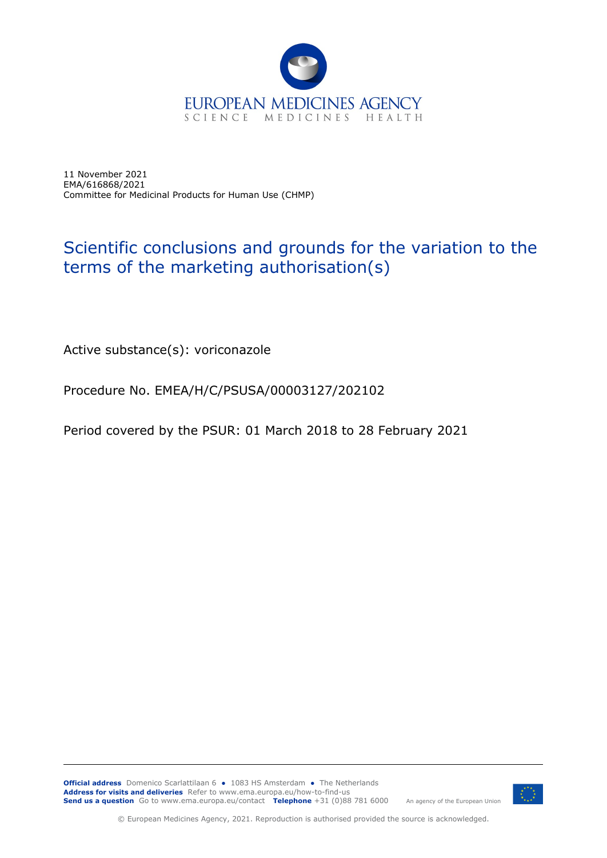

11 November 2021 EMA/616868/2021 Committee for Medicinal Products for Human Use (CHMP)

## Scientific conclusions and grounds for the variation to the terms of the marketing authorisation(s)

Active substance(s): voriconazole

Procedure No. EMEA/H/C/PSUSA/00003127/202102

Period covered by the PSUR: 01 March 2018 to 28 February 2021